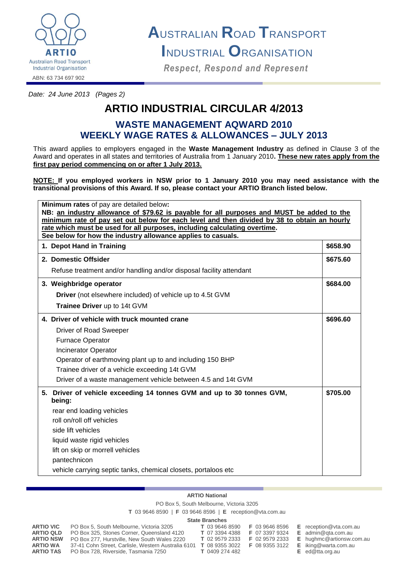

**A**USTRALIAN **R**OAD **T**RANSPORT

**I**NDUSTRIAL **O**RGANISATION

*Respect, Respond and Represent Respect, Respond and Represent*

ABN: 63 734 697 902

*Date: 24 June 2013 (Pages 2)*

# **ARTIO INDUSTRIAL CIRCULAR 4/2013**

## **WASTE MANAGEMENT AQWARD 2010 WEEKLY WAGE RATES & ALLOWANCES – JULY 2013**

This award applies to employers engaged in the **Waste Management Industry** as defined in Clause 3 of the Award and operates in all states and territories of Australia from 1 January 2010**. These new rates apply from the first pay period commencing on or after 1 July 2013.**

**NOTE: If you employed workers in NSW prior to 1 January 2010 you may need assistance with the transitional provisions of this Award. If so, please contact your ARTIO Branch listed below.**

| <b>Minimum rates of pay are detailed below:</b>                                                                                           |          |  |  |  |
|-------------------------------------------------------------------------------------------------------------------------------------------|----------|--|--|--|
| NB: an industry allowance of \$79.62 is payable for all purposes and MUST be added to the                                                 |          |  |  |  |
| minimum rate of pay set out below for each level and then divided by 38 to obtain an hourly                                               |          |  |  |  |
| rate which must be used for all purposes, including calculating overtime.<br>See below for how the industry allowance applies to casuals. |          |  |  |  |
| 1. Depot Hand in Training                                                                                                                 | \$658.90 |  |  |  |
| 2. Domestic Offsider                                                                                                                      | \$675.60 |  |  |  |
| Refuse treatment and/or handling and/or disposal facility attendant                                                                       |          |  |  |  |
| 3. Weighbridge operator                                                                                                                   | \$684.00 |  |  |  |
| <b>Driver</b> (not elsewhere included) of vehicle up to 4.5t GVM                                                                          |          |  |  |  |
| Trainee Driver up to 14t GVM                                                                                                              |          |  |  |  |
| 4. Driver of vehicle with truck mounted crane                                                                                             | \$696.60 |  |  |  |
| Driver of Road Sweeper                                                                                                                    |          |  |  |  |
| Furnace Operator                                                                                                                          |          |  |  |  |
| <b>Incinerator Operator</b>                                                                                                               |          |  |  |  |
| Operator of earthmoving plant up to and including 150 BHP                                                                                 |          |  |  |  |
| Trainee driver of a vehicle exceeding 14t GVM                                                                                             |          |  |  |  |
| Driver of a waste management vehicle between 4.5 and 14t GVM                                                                              |          |  |  |  |
| 5. Driver of vehicle exceeding 14 tonnes GVM and up to 30 tonnes GVM,<br>being:                                                           | \$705.00 |  |  |  |
| rear end loading vehicles                                                                                                                 |          |  |  |  |
| roll on/roll off vehicles                                                                                                                 |          |  |  |  |
| side lift vehicles                                                                                                                        |          |  |  |  |
| liquid waste rigid vehicles                                                                                                               |          |  |  |  |
| lift on skip or morrell vehicles                                                                                                          |          |  |  |  |
| pantechnicon                                                                                                                              |          |  |  |  |
| vehicle carrying septic tanks, chemical closets, portaloos etc                                                                            |          |  |  |  |

### **ARTIO National**

PO Box 5, South Melbourne, Victoria 3205

**T** 03 9646 8590 | **F** 03 9646 8596 | **E** reception@vta.com.au

#### **State Branches**

| ARTIO VIC<br><b>ARTIO QLD</b>       | PO Box 5, South Melbourne, Victoria 3205<br>PO Box 325, Stones Corner, Queensland 4120      | T 03 9646 8590<br><b>T</b> 07 3394 4388 | F 03 9646 8596<br>F 07 3397 9324 | E. | reception@vta.com<br>$E$ admin@gta.com.au  |
|-------------------------------------|---------------------------------------------------------------------------------------------|-----------------------------------------|----------------------------------|----|--------------------------------------------|
| <b>ARTIO NSW</b>                    | PO Box 277, Hurstville, New South Wales 2220                                                | <b>T</b> 02 9579 2333                   | F 02 9579 2333                   |    | $E$ hughmc@artionsw.                       |
| <b>ARTIO WA</b><br><b>ARTIO TAS</b> | 37-41 Cohn Street, Carlisle, Western Australia 6101<br>PO Box 728, Riverside, Tasmania 7250 | <b>T</b> 08 9355 3022<br>T 0409 274 482 | F 08 9355 3122                   |    | $E$ iking@warta.com.a<br>$E$ ed@tta.org.au |

**A ARTIO BOX 5, SOUTH MELG EXECUTE**  $Amc@$  artionsw.com.au  $@$  warta.com.au